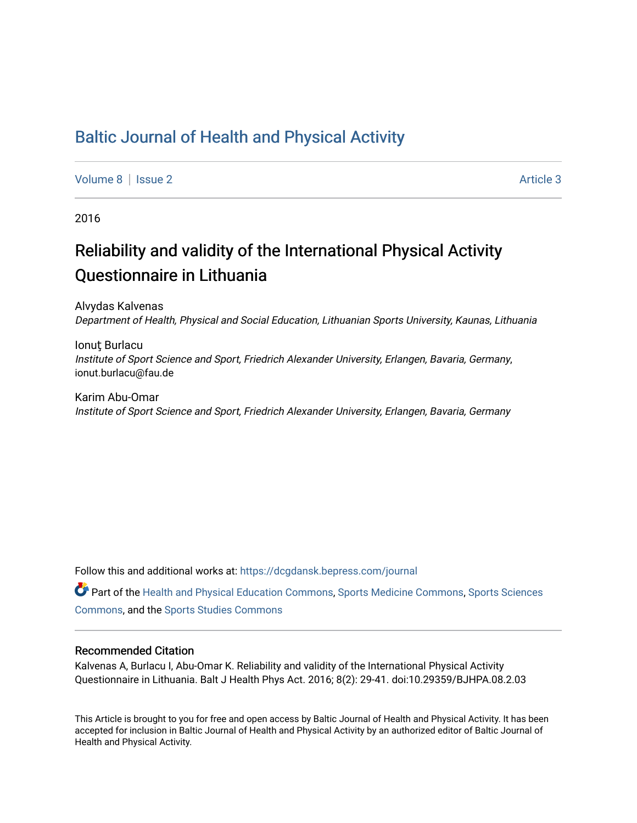# [Baltic Journal of Health and Physical Activity](https://dcgdansk.bepress.com/journal)

[Volume 8](https://dcgdansk.bepress.com/journal/vol8) | [Issue 2](https://dcgdansk.bepress.com/journal/vol8/iss2) Article 3

2016

# Reliability and validity of the International Physical Activity Questionnaire in Lithuania

Alvydas Kalvenas Department of Health, Physical and Social Education, Lithuanian Sports University, Kaunas, Lithuania

Ionut Burlacu Institute of Sport Science and Sport, Friedrich Alexander University, Erlangen, Bavaria, Germany, ionut.burlacu@fau.de

Karim Abu-Omar Institute of Sport Science and Sport, Friedrich Alexander University, Erlangen, Bavaria, Germany

Follow this and additional works at: [https://dcgdansk.bepress.com/journal](https://dcgdansk.bepress.com/journal?utm_source=dcgdansk.bepress.com%2Fjournal%2Fvol8%2Fiss2%2F3&utm_medium=PDF&utm_campaign=PDFCoverPages)

Part of the [Health and Physical Education Commons](http://network.bepress.com/hgg/discipline/1327?utm_source=dcgdansk.bepress.com%2Fjournal%2Fvol8%2Fiss2%2F3&utm_medium=PDF&utm_campaign=PDFCoverPages), [Sports Medicine Commons,](http://network.bepress.com/hgg/discipline/1331?utm_source=dcgdansk.bepress.com%2Fjournal%2Fvol8%2Fiss2%2F3&utm_medium=PDF&utm_campaign=PDFCoverPages) [Sports Sciences](http://network.bepress.com/hgg/discipline/759?utm_source=dcgdansk.bepress.com%2Fjournal%2Fvol8%2Fiss2%2F3&utm_medium=PDF&utm_campaign=PDFCoverPages) [Commons](http://network.bepress.com/hgg/discipline/759?utm_source=dcgdansk.bepress.com%2Fjournal%2Fvol8%2Fiss2%2F3&utm_medium=PDF&utm_campaign=PDFCoverPages), and the [Sports Studies Commons](http://network.bepress.com/hgg/discipline/1198?utm_source=dcgdansk.bepress.com%2Fjournal%2Fvol8%2Fiss2%2F3&utm_medium=PDF&utm_campaign=PDFCoverPages) 

## Recommended Citation

Kalvenas A, Burlacu I, Abu-Omar K. Reliability and validity of the International Physical Activity Questionnaire in Lithuania. Balt J Health Phys Act. 2016; 8(2): 29-41. doi:10.29359/BJHPA.08.2.03

This Article is brought to you for free and open access by Baltic Journal of Health and Physical Activity. It has been accepted for inclusion in Baltic Journal of Health and Physical Activity by an authorized editor of Baltic Journal of Health and Physical Activity.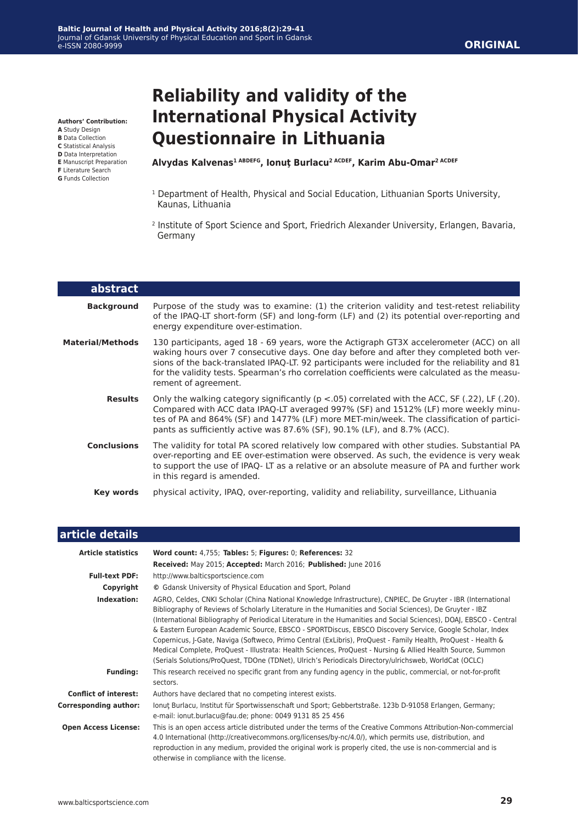**Authors' Contribution:**

- **A** Study Design
- **B** Data Collection **C** Statistical Analysis
- **D** Data Interpretation
- **E** Manuscript Preparation
- **F** Literature Search
- **G** Funds Collection

L

# **Reliability and validity of the International Physical Activity Questionnaire in Lithuania**

**Alvydas Kalvenas1 ABDEFG, Ionuţ Burlacu2 ACDEF, Karim Abu-Omar2 ACDEF**

- <sup>1</sup> Department of Health, Physical and Social Education, Lithuanian Sports University, Kaunas, Lithuania
- 2 Institute of Sport Science and Sport, Friedrich Alexander University, Erlangen, Bavaria, Germany

| abstract                |                                                                                                                                                                                                                                                                                                                                                                                                                |
|-------------------------|----------------------------------------------------------------------------------------------------------------------------------------------------------------------------------------------------------------------------------------------------------------------------------------------------------------------------------------------------------------------------------------------------------------|
| <b>Background</b>       | Purpose of the study was to examine: (1) the criterion validity and test-retest reliability<br>of the IPAQ-LT short-form (SF) and long-form (LF) and (2) its potential over-reporting and<br>energy expenditure over-estimation.                                                                                                                                                                               |
| <b>Material/Methods</b> | 130 participants, aged 18 - 69 years, wore the Actigraph GT3X accelerometer (ACC) on all<br>waking hours over 7 consecutive days. One day before and after they completed both ver-<br>sions of the back-translated IPAQ-LT. 92 participants were included for the reliability and 81<br>for the validity tests. Spearman's rho correlation coefficients were calculated as the measu-<br>rement of agreement. |
| <b>Results</b>          | Only the walking category significantly ( $p < 0.05$ ) correlated with the ACC, SF (.22), LF (.20).<br>Compared with ACC data IPAQ-LT averaged 997% (SF) and 1512% (LF) more weekly minu-<br>tes of PA and 864% (SF) and 1477% (LF) more MET-min/week. The classification of partici-<br>pants as sufficiently active was 87.6% (SF), 90.1% (LF), and 8.7% (ACC).                                              |
| <b>Conclusions</b>      | The validity for total PA scored relatively low compared with other studies. Substantial PA<br>over-reporting and EE over-estimation were observed. As such, the evidence is very weak<br>to support the use of IPAQ-LT as a relative or an absolute measure of PA and further work<br>in this regard is amended.                                                                                              |
| Key words               | physical activity, IPAQ, over-reporting, validity and reliability, surveillance, Lithuania                                                                                                                                                                                                                                                                                                                     |

| article details              |                                                                                                                                                                                                                                                                                                                                                                                                                                                                                                                                                                                                                                                                                                                                                                                                      |
|------------------------------|------------------------------------------------------------------------------------------------------------------------------------------------------------------------------------------------------------------------------------------------------------------------------------------------------------------------------------------------------------------------------------------------------------------------------------------------------------------------------------------------------------------------------------------------------------------------------------------------------------------------------------------------------------------------------------------------------------------------------------------------------------------------------------------------------|
| <b>Article statistics</b>    | Word count: 4,755; Tables: 5; Figures: 0; References: 32                                                                                                                                                                                                                                                                                                                                                                                                                                                                                                                                                                                                                                                                                                                                             |
|                              | Received: May 2015; Accepted: March 2016; Published: June 2016                                                                                                                                                                                                                                                                                                                                                                                                                                                                                                                                                                                                                                                                                                                                       |
| <b>Full-text PDF:</b>        | http://www.balticsportscience.com                                                                                                                                                                                                                                                                                                                                                                                                                                                                                                                                                                                                                                                                                                                                                                    |
| Copyright                    | © Gdansk University of Physical Education and Sport, Poland                                                                                                                                                                                                                                                                                                                                                                                                                                                                                                                                                                                                                                                                                                                                          |
| Indexation:                  | AGRO, Celdes, CNKI Scholar (China National Knowledge Infrastructure), CNPIEC, De Gruyter - IBR (International<br>Bibliography of Reviews of Scholarly Literature in the Humanities and Social Sciences), De Gruyter - IBZ<br>(International Bibliography of Periodical Literature in the Humanities and Social Sciences), DOAJ, EBSCO - Central<br>& Eastern European Academic Source, EBSCO - SPORTDiscus, EBSCO Discovery Service, Google Scholar, Index<br>Copernicus, J-Gate, Naviga (Softweco, Primo Central (ExLibris), ProQuest - Family Health, ProQuest - Health &<br>Medical Complete, ProQuest - Illustrata: Health Sciences, ProQuest - Nursing & Allied Health Source, Summon<br>(Serials Solutions/ProQuest, TDOne (TDNet), Ulrich's Periodicals Directory/ulrichsweb, WorldCat (OCLC) |
| <b>Funding:</b>              | This research received no specific grant from any funding agency in the public, commercial, or not-for-profit<br>sectors.                                                                                                                                                                                                                                                                                                                                                                                                                                                                                                                                                                                                                                                                            |
| <b>Conflict of interest:</b> | Authors have declared that no competing interest exists.                                                                                                                                                                                                                                                                                                                                                                                                                                                                                                                                                                                                                                                                                                                                             |
| <b>Corresponding author:</b> | lonut Burlacu, Institut für Sportwissenschaft und Sport; Gebbertstraße. 123b D-91058 Erlangen, Germany;<br>e-mail: ionut.burlacu@fau.de; phone: 0049 9131 85 25 456                                                                                                                                                                                                                                                                                                                                                                                                                                                                                                                                                                                                                                  |
| <b>Open Access License:</b>  | This is an open access article distributed under the terms of the Creative Commons Attribution-Non-commercial<br>4.0 International (http://creativecommons.org/licenses/by-nc/4.0/), which permits use, distribution, and<br>reproduction in any medium, provided the original work is properly cited, the use is non-commercial and is<br>otherwise in compliance with the license.                                                                                                                                                                                                                                                                                                                                                                                                                 |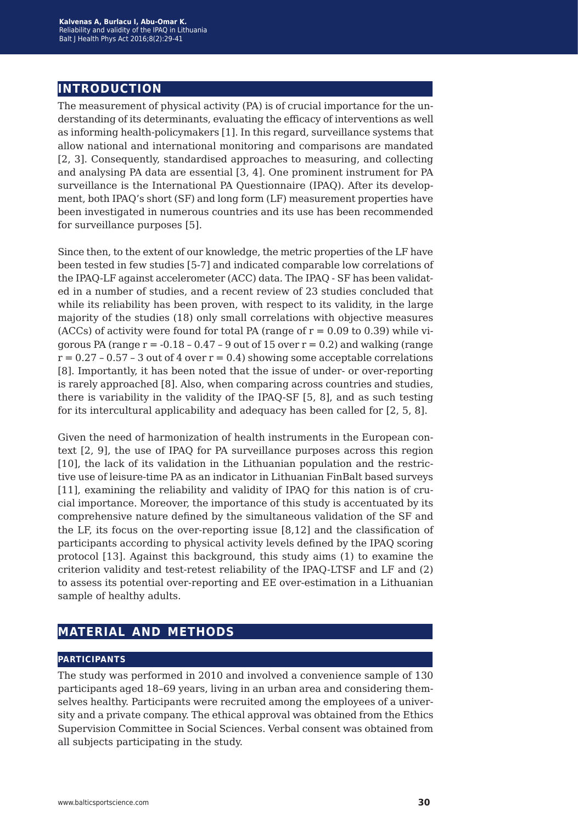# **introduction**

The measurement of physical activity (PA) is of crucial importance for the understanding of its determinants, evaluating the efficacy of interventions as well as informing health-policymakers [1]. In this regard, surveillance systems that allow national and international monitoring and comparisons are mandated [2, 3]. Consequently, standardised approaches to measuring, and collecting and analysing PA data are essential [3, 4]. One prominent instrument for PA surveillance is the International PA Questionnaire (IPAQ). After its development, both IPAQ's short (SF) and long form (LF) measurement properties have been investigated in numerous countries and its use has been recommended for surveillance purposes [5].

Since then, to the extent of our knowledge, the metric properties of the LF have been tested in few studies [5-7] and indicated comparable low correlations of the IPAQ-LF against accelerometer (ACC) data. The IPAQ - SF has been validated in a number of studies, and a recent review of 23 studies concluded that while its reliability has been proven, with respect to its validity, in the large majority of the studies (18) only small correlations with objective measures (ACCs) of activity were found for total PA (range of  $r = 0.09$  to 0.39) while vigorous PA (range  $r = -0.18 - 0.47 - 9$  out of 15 over  $r = 0.2$ ) and walking (range  $r = 0.27 - 0.57 - 3$  out of 4 over  $r = 0.4$ ) showing some acceptable correlations [8]. Importantly, it has been noted that the issue of under- or over-reporting is rarely approached [8]. Also, when comparing across countries and studies, there is variability in the validity of the IPAQ-SF [5, 8], and as such testing for its intercultural applicability and adequacy has been called for [2, 5, 8].

Given the need of harmonization of health instruments in the European context [2, 9], the use of IPAQ for PA surveillance purposes across this region [10], the lack of its validation in the Lithuanian population and the restrictive use of leisure-time PA as an indicator in Lithuanian FinBalt based surveys [11], examining the reliability and validity of IPAQ for this nation is of crucial importance. Moreover, the importance of this study is accentuated by its comprehensive nature defined by the simultaneous validation of the SF and the LF, its focus on the over-reporting issue [8,12] and the classification of participants according to physical activity levels defined by the IPAQ scoring protocol [13]. Against this background, this study aims (1) to examine the criterion validity and test-retest reliability of the IPAQ-LTSF and LF and (2) to assess its potential over-reporting and EE over-estimation in a Lithuanian sample of healthy adults.

# **material and methods**

## **participants**

The study was performed in 2010 and involved a convenience sample of 130 participants aged 18–69 years, living in an urban area and considering themselves healthy. Participants were recruited among the employees of a university and a private company. The ethical approval was obtained from the Ethics Supervision Committee in Social Sciences. Verbal consent was obtained from all subjects participating in the study.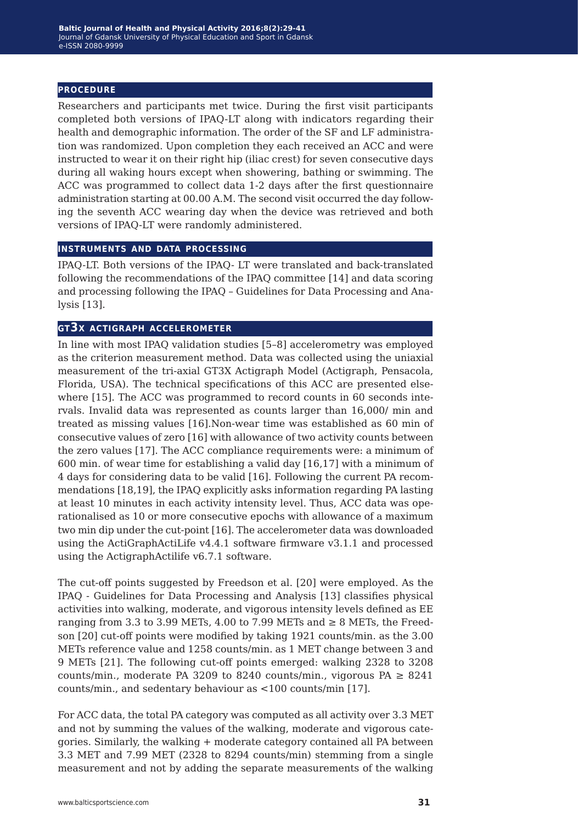## **procedure**

Researchers and participants met twice. During the first visit participants completed both versions of IPAQ-LT along with indicators regarding their health and demographic information. The order of the SF and LF administration was randomized. Upon completion they each received an ACC and were instructed to wear it on their right hip (iliac crest) for seven consecutive days during all waking hours except when showering, bathing or swimming. The ACC was programmed to collect data 1-2 days after the first questionnaire administration starting at 00.00 A.M. The second visit occurred the day following the seventh ACC wearing day when the device was retrieved and both versions of IPAQ-LT were randomly administered.

#### **instruments and data processing**

IPAQ-LT. Both versions of the IPAQ- LT were translated and back-translated following the recommendations of the IPAQ committee [14] and data scoring and processing following the IPAQ – Guidelines for Data Processing and Analysis [13].

#### **gt3x actigraph accelerometer**

In line with most IPAQ validation studies [5–8] accelerometry was employed as the criterion measurement method. Data was collected using the uniaxial measurement of the tri-axial GT3X Actigraph Model (Actigraph, Pensacola, Florida, USA). The technical specifications of this ACC are presented elsewhere [15]. The ACC was programmed to record counts in 60 seconds intervals. Invalid data was represented as counts larger than 16,000/ min and treated as missing values [16].Non-wear time was established as 60 min of consecutive values of zero [16] with allowance of two activity counts between the zero values [17]. The ACC compliance requirements were: a minimum of 600 min. of wear time for establishing a valid day [16,17] with a minimum of 4 days for considering data to be valid [16]. Following the current PA recommendations [18,19], the IPAQ explicitly asks information regarding PA lasting at least 10 minutes in each activity intensity level. Thus, ACC data was operationalised as 10 or more consecutive epochs with allowance of a maximum two min dip under the cut-point [16]. The accelerometer data was downloaded using the ActiGraphActiLife v4.4.1 software firmware v3.1.1 and processed using the ActigraphActilife v6.7.1 software.

The cut-off points suggested by Freedson et al. [20] were employed. As the IPAQ - Guidelines for Data Processing and Analysis [13] classifies physical activities into walking, moderate, and vigorous intensity levels defined as EE ranging from 3.3 to 3.99 METs, 4.00 to 7.99 METs and  $\geq 8$  METs, the Freedson [20] cut-off points were modified by taking 1921 counts/min. as the 3.00 METs reference value and 1258 counts/min. as 1 MET change between 3 and 9 METs [21]. The following cut-off points emerged: walking 2328 to 3208 counts/min., moderate PA 3209 to 8240 counts/min., vigorous PA  $\geq$  8241 counts/min., and sedentary behaviour as <100 counts/min [17].

For ACC data, the total PA category was computed as all activity over 3.3 MET and not by summing the values of the walking, moderate and vigorous categories. Similarly, the walking + moderate category contained all PA between 3.3 MET and 7.99 MET (2328 to 8294 counts/min) stemming from a single measurement and not by adding the separate measurements of the walking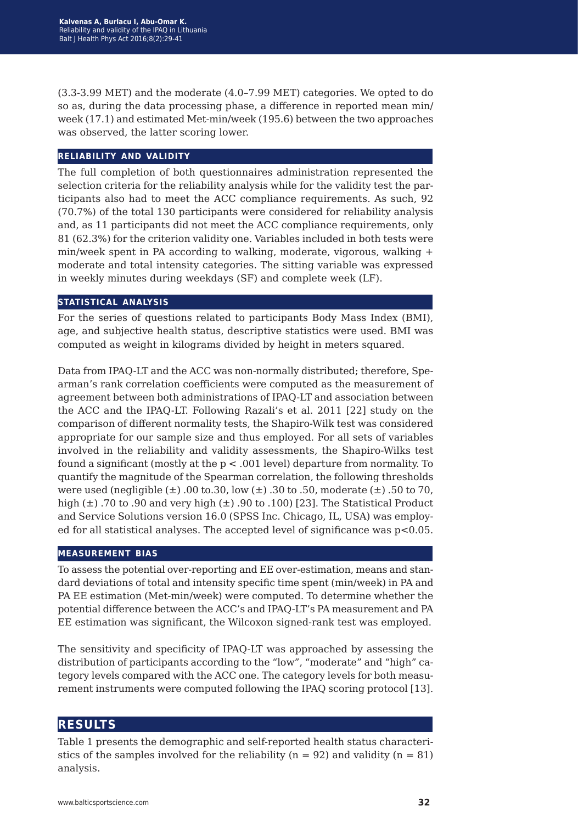(3.3-3.99 MET) and the moderate (4.0–7.99 MET) categories. We opted to do so as, during the data processing phase, a difference in reported mean min/ week (17.1) and estimated Met-min/week (195.6) between the two approaches was observed, the latter scoring lower.

#### **reliability and validity**

The full completion of both questionnaires administration represented the selection criteria for the reliability analysis while for the validity test the participants also had to meet the ACC compliance requirements. As such, 92 (70.7%) of the total 130 participants were considered for reliability analysis and, as 11 participants did not meet the ACC compliance requirements, only 81 (62.3%) for the criterion validity one. Variables included in both tests were min/week spent in PA according to walking, moderate, vigorous, walking + moderate and total intensity categories. The sitting variable was expressed in weekly minutes during weekdays (SF) and complete week (LF).

## **statistical analysis**

For the series of questions related to participants Body Mass Index (BMI), age, and subjective health status, descriptive statistics were used. BMI was computed as weight in kilograms divided by height in meters squared.

Data from IPAQ-LT and the ACC was non-normally distributed; therefore, Spearman's rank correlation coefficients were computed as the measurement of agreement between both administrations of IPAQ-LT and association between the ACC and the IPAQ-LT. Following Razali's et al. 2011 [22] study on the comparison of different normality tests, the Shapiro-Wilk test was considered appropriate for our sample size and thus employed. For all sets of variables involved in the reliability and validity assessments, the Shapiro-Wilks test found a significant (mostly at the p < .001 level) departure from normality. To quantify the magnitude of the Spearman correlation, the following thresholds were used (negligible  $(\pm)$  .00 to .30, low  $(\pm)$  .30 to .50, moderate  $(\pm)$  .50 to 70, high  $(\pm)$  .70 to .90 and very high  $(\pm)$  .90 to .100) [23]. The Statistical Product and Service Solutions version 16.0 (SPSS Inc. Chicago, IL, USA) was employed for all statistical analyses. The accepted level of significance was  $p<0.05$ .

#### **measurement bias**

To assess the potential over-reporting and EE over-estimation, means and standard deviations of total and intensity specific time spent (min/week) in PA and PA EE estimation (Met-min/week) were computed. To determine whether the potential difference between the ACC's and IPAQ-LT's PA measurement and PA EE estimation was significant, the Wilcoxon signed-rank test was employed.

The sensitivity and specificity of IPAQ-LT was approached by assessing the distribution of participants according to the "low", "moderate" and "high" category levels compared with the ACC one. The category levels for both measurement instruments were computed following the IPAQ scoring protocol [13].

# **results**

Table 1 presents the demographic and self-reported health status characteristics of the samples involved for the reliability ( $n = 92$ ) and validity ( $n = 81$ ) analysis.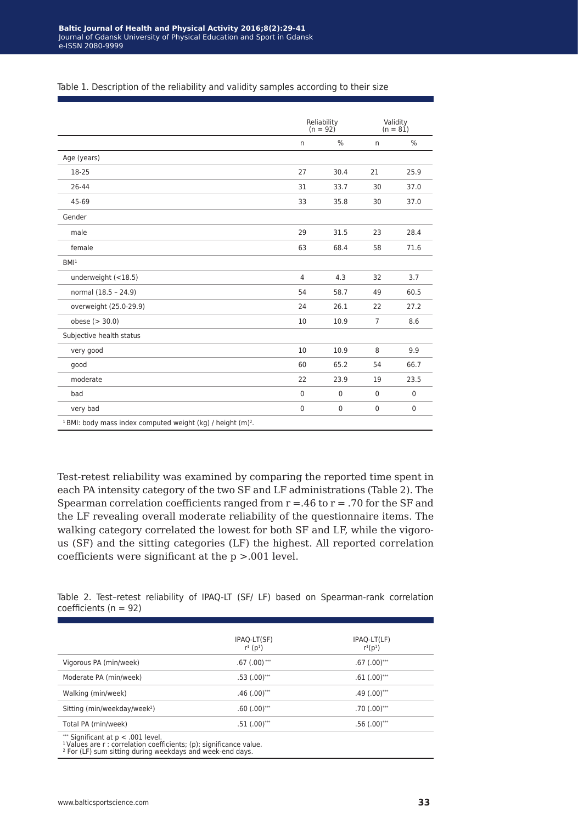|                                                                                    | Reliability<br>$(n = 92)$ |              | Validity<br>$(n = 81)$ |             |
|------------------------------------------------------------------------------------|---------------------------|--------------|------------------------|-------------|
|                                                                                    | $\mathsf{n}$              | %            | $\mathsf{n}$           | %           |
| Age (years)                                                                        |                           |              |                        |             |
| 18-25                                                                              | 27                        | 30.4         | 21                     | 25.9        |
| 26-44                                                                              | 31                        | 33.7         | 30                     | 37.0        |
| 45-69                                                                              | 33                        | 35.8         | 30                     | 37.0        |
| Gender                                                                             |                           |              |                        |             |
| male                                                                               | 29                        | 31.5         | 23                     | 28.4        |
| female                                                                             | 63                        | 68.4         | 58                     | 71.6        |
| BM <sup>1</sup>                                                                    |                           |              |                        |             |
| underweight (<18.5)                                                                | $\overline{4}$            | 4.3          | 32                     | 3.7         |
| normal (18.5 - 24.9)                                                               | 54                        | 58.7         | 49                     | 60.5        |
| overweight (25.0-29.9)                                                             | 24                        | 26.1         | 22                     | 27.2        |
| obese $(>30.0)$                                                                    | 10                        | 10.9         | $\overline{7}$         | 8.6         |
| Subjective health status                                                           |                           |              |                        |             |
| very good                                                                          | 10                        | 10.9         | 8                      | 9.9         |
| good                                                                               | 60                        | 65.2         | 54                     | 66.7        |
| moderate                                                                           | 22                        | 23.9         | 19                     | 23.5        |
| bad                                                                                | $\mathbf{0}$              | $\mathbf{0}$ | $\Omega$               | $\Omega$    |
| very bad                                                                           | $\mathbf 0$               | $\mathbf{0}$ | $\mathbf{0}$           | $\mathbf 0$ |
| <sup>1</sup> BMI: body mass index computed weight (kg) / height (m) <sup>2</sup> . |                           |              |                        |             |

#### Table 1. Description of the reliability and validity samples according to their size

Test-retest reliability was examined by comparing the reported time spent in each PA intensity category of the two SF and LF administrations (Table 2). The Spearman correlation coefficients ranged from  $r = .46$  to  $r = .70$  for the SF and the LF revealing overall moderate reliability of the questionnaire items. The walking category correlated the lowest for both SF and LF, while the vigorous (SF) and the sitting categories (LF) the highest. All reported correlation coefficients were significant at the p >.001 level.

Table 2. Test–retest reliability of IPAQ-LT (SF/ LF) based on Spearman-rank correlation coefficients (n = 92)

|                                          | IPAQ-LT(SF)<br>$r^{1}$ ( $p^{1}$ ) | IPAQ-LT(LF)<br>$r^{1}(p^{1})$ |
|------------------------------------------|------------------------------------|-------------------------------|
| Vigorous PA (min/week)                   | $.67(.00)$ ***                     | $.67$ $(.00)$ ***             |
| Moderate PA (min/week)                   | $.53(.00)$ ***                     | $.61(.00)$ ***                |
| Walking (min/week)                       | $.46$ (.00) <sup>***</sup>         | $.49$ $(.00)$ ***             |
| Sitting (min/weekday/week <sup>2</sup> ) | $.60(.00)$ ***                     | $.70$ (.00) <sup>***</sup>    |
| Total PA (min/week)                      | $.51(.00)$ ***                     | $.56(.00)$ ***                |

<sup>2</sup> For (LF) sum sitting during weekdays and week-end days.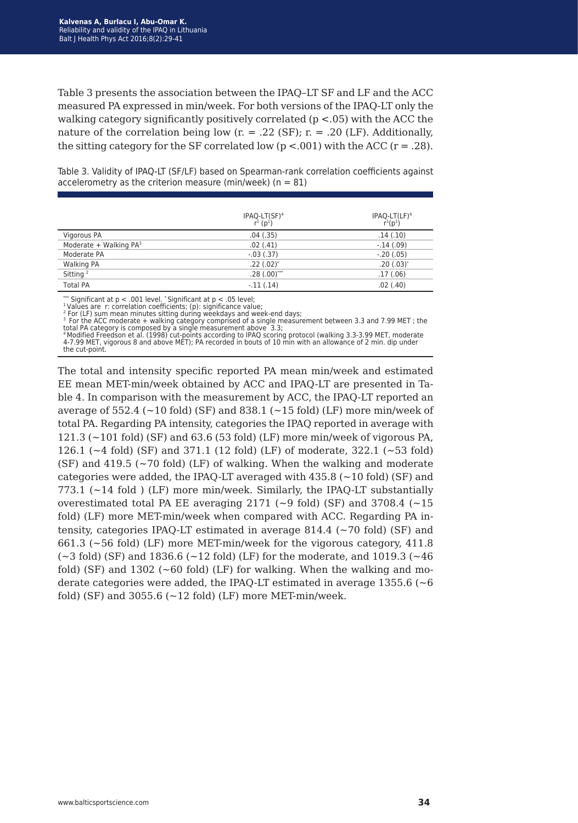Table 3 presents the association between the IPAQ–LT SF and LF and the ACC measured PA expressed in min/week. For both versions of the IPAQ-LT only the walking category significantly positively correlated (p <.05) with the ACC the nature of the correlation being low  $(r = .22 \text{ (SF)}; r = .20 \text{ (LF)}$ . Additionally, the sitting category for the SF correlated low  $(p < .001)$  with the ACC  $(r = .28)$ .

Table 3. Validity of IPAQ-LT (SF/LF) based on Spearman-rank correlation coefficients against accelerometry as the criterion measure (min/week) ( $n = 81$ )

|                                    | IPAQ-LT(SF) <sup>4</sup><br>$r^{1}$ ( $p^{1}$ ) | IPAQ-LT(LF) <sup>4</sup><br>$r^{1}(p^{1})$ |
|------------------------------------|-------------------------------------------------|--------------------------------------------|
| Vigorous PA                        | .04(.35)                                        | .14(.10)                                   |
| Moderate + Walking PA <sup>3</sup> | .02(.41)                                        | $-.14(.09)$                                |
| Moderate PA                        | $-.03(.37)$                                     | $-.20(.05)$                                |
| <b>Walking PA</b>                  | $.22(.02)^*$                                    | $.20(.03)^*$                               |
| Sitting <sup>2</sup>               | $.28(.00)$ ***                                  | .17(.06)                                   |
| <b>Total PA</b>                    | $-.11(.14)$                                     | .02(0.40)                                  |

\*\*\* Significant at p < .001 level. \* Significant at p < .05 level;<br><sup>1</sup> Values are r: correlation coefficients; (p): significance value;<br><sup>2</sup> For (LF) sum mean minutes sitting during weekdays and week-end days;<br><sup>3</sup> For the A

total PA category is composed by a single measurement above 3.3;<br><sup>4</sup> Modified Freedson et al. (1998) cut-points according to IPAQ scoring protocol (walking 3.3-3.99 MET, moderate<br>4-7.99 MET, vigorous 8 and above MET); PA the cut-point.

The total and intensity specific reported PA mean min/week and estimated EE mean MET-min/week obtained by ACC and IPAQ-LT are presented in Table 4. In comparison with the measurement by ACC, the IPAQ-LT reported an average of  $552.4$  ( $\sim$  10 fold) (SF) and 838.1 ( $\sim$  15 fold) (LF) more min/week of total PA. Regarding PA intensity, categories the IPAQ reported in average with 121.3 (~101 fold) (SF) and 63.6 (53 fold) (LF) more min/week of vigorous PA, 126.1 (~4 fold) (SF) and 371.1 (12 fold) (LF) of moderate, 322.1 (~53 fold)  $(SF)$  and 419.5 ( $\sim$  70 fold) (LF) of walking. When the walking and moderate categories were added, the IPAO-LT averaged with  $435.8$  ( $\sim$ 10 fold) (SF) and 773.1 ( $\sim$ 14 fold ) (LF) more min/week. Similarly, the IPAQ-LT substantially overestimated total PA EE averaging 2171 ( $\sim$ 9 fold) (SF) and 3708.4 ( $\sim$ 15 fold) (LF) more MET-min/week when compared with ACC. Regarding PA intensity, categories IPAQ-LT estimated in average  $814.4$  ( $\sim$ 70 fold) (SF) and 661.3 (~56 fold) (LF) more MET-min/week for the vigorous category, 411.8  $(-3 \text{ fold})$  (SF) and 1836.6  $(-12 \text{ fold})$  (LF) for the moderate, and 1019.3 ( $-46$ ) fold) (SF) and  $1302$  ( $\sim 60$  fold) (LF) for walking. When the walking and moderate categories were added, the IPAQ-LT estimated in average 1355.6 (~6 fold) (SF) and  $3055.6$  ( $\sim$ 12 fold) (LF) more MET-min/week.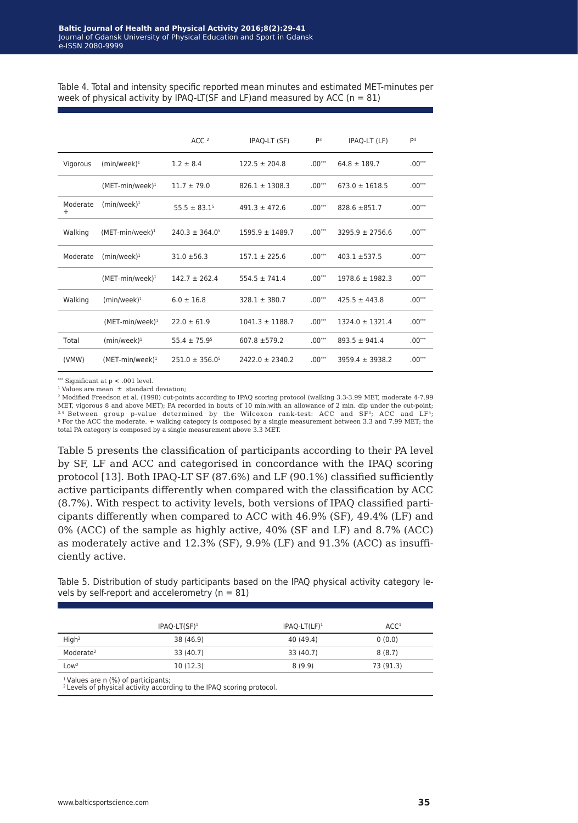|                    |                    | ACC <sup>2</sup>    | IPAQ-LT (SF)        | P <sub>3</sub> | IPAQ-LT (LF)        | P <sub>4</sub> |
|--------------------|--------------------|---------------------|---------------------|----------------|---------------------|----------------|
| Vigorous           | $(min/week)^1$     | $1.2 \pm 8.4$       | $122.5 \pm 204.8$   | $.00***$       | $64.8 \pm 189.7$    | $.00***$       |
|                    | $(MET-min/week)^1$ | $11.7 \pm 79.0$     | $826.1 \pm 1308.3$  | $.00***$       | $673.0 \pm 1618.5$  | $.00***$       |
| Moderate<br>$^{+}$ | $(min/week)^1$     | $55.5 \pm 83.1^5$   | $491.3 \pm 472.6$   | $.00***$       | $828.6 \pm 851.7$   | $.00***$       |
| Walking            | $(MET-min/week)^1$ | $240.3 \pm 364.0^5$ | $1595.9 \pm 1489.7$ | $.00***$       | $3295.9 \pm 2756.6$ | $.00***$       |
| Moderate           | $(min/week)^1$     | $31.0 \pm 56.3$     | $157.1 \pm 225.6$   | $.00***$       | $403.1 + 537.5$     | $.00***$       |
|                    | $(MET-min/week)^1$ | $142.7 \pm 262.4$   | $554.5 \pm 741.4$   | $.00***$       | $1978.6 \pm 1982.3$ | $.00***$       |
| Walking            | $(min/week)^1$     | $6.0 \pm 16.8$      | $328.1 \pm 380.7$   | $.00***$       | $425.5 \pm 443.8$   | $.00***$       |
|                    | $(MET-min/week)^1$ | $22.0 \pm 61.9$     | $1041.3 \pm 1188.7$ | $.00***$       | $1324.0 \pm 1321.4$ | $.00***$       |
| Total              | $(min/week)^1$     | $55.4 \pm 75.95$    | $607.8 + 579.2$     | $.00***$       | $893.5 \pm 941.4$   | $.00***$       |
| (VMW)              | $(MET-min/week)^1$ | $251.0 \pm 356.0^5$ | $2422.0 \pm 2340.2$ | $.00***$       | $3959.4 \pm 3938.2$ | $.00***$       |

Table 4. Total and intensity specific reported mean minutes and estimated MET-minutes per week of physical activity by IPAQ-LT(SF and LF)and measured by ACC ( $n = 81$ )

\*\*\* Significant at  $p < .001$  level.

<sup>1</sup> Values are mean  $\pm$  standard deviation;

<sup>2</sup> Modified Freedson et al. (1998) cut-points according to IPAQ scoring protocol (walking 3.3-3.99 MET, moderate 4-7.99 MET, vigorous 8 and above MET); PA recorded in bouts of 10 min.with an allowance of 2 min. dip under the cut-point; 3,4 Between group p-value determined by the Wilcoxon rank-test: ACC and SF<sup>3</sup>; ACC and LF<sup>4</sup>; <sup>5</sup> For the ACC the moderate. + walking category is composed by a single measurement between 3.3 and 7.99 MET; the total PA category is composed by a single measurement above 3.3 MET.

Table 5 presents the classification of participants according to their PA level by SF, LF and ACC and categorised in concordance with the IPAQ scoring protocol [13]. Both IPAQ-LT SF (87.6%) and LF (90.1%) classified sufficiently active participants differently when compared with the classification by ACC (8.7%). With respect to activity levels, both versions of IPAQ classified participants differently when compared to ACC with 46.9% (SF), 49.4% (LF) and 0% (ACC) of the sample as highly active, 40% (SF and LF) and 8.7% (ACC) as moderately active and 12.3% (SF), 9.9% (LF) and 91.3% (ACC) as insufficiently active.

Table 5. Distribution of study participants based on the IPAQ physical activity category levels by self-report and accelerometry ( $n = 81$ )

|                       | $IPAO-LT(SF)^1$ | $IPAO-LT(LF)^1$ | ACC <sup>1</sup> |
|-----------------------|-----------------|-----------------|------------------|
| High <sup>2</sup>     | 38 (46.9)       | 40 (49.4)       | 0(0.0)           |
| Moderate <sup>2</sup> | 33 (40.7)       | 33 (40.7)       | 8(8.7)           |
| Low <sup>2</sup>      | 10(12.3)        | 8(9.9)          | 73 (91.3)        |

<sup>1</sup> Values are n (%) of participants;<br><sup>2</sup> Levels of physical activity according to the IPAQ scoring protocol.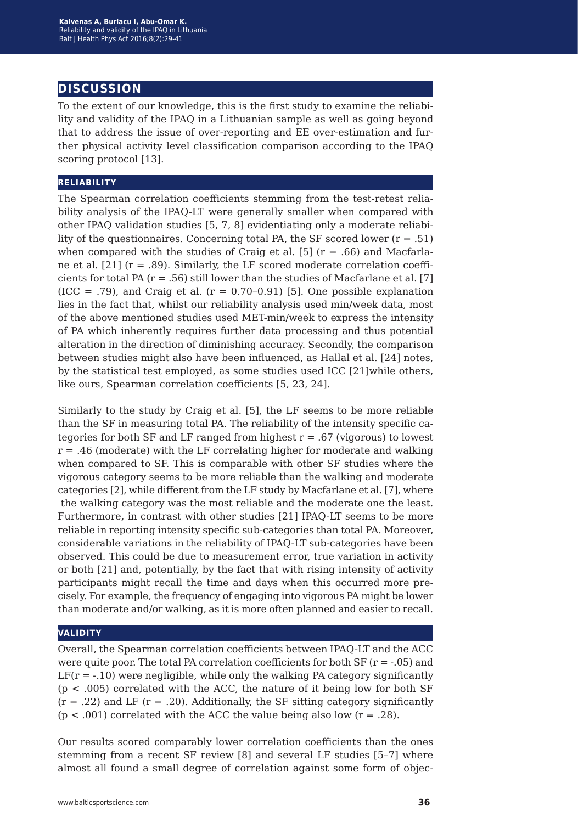# **discussion**

To the extent of our knowledge, this is the first study to examine the reliability and validity of the IPAQ in a Lithuanian sample as well as going beyond that to address the issue of over-reporting and EE over-estimation and further physical activity level classification comparison according to the IPAQ scoring protocol [13].

#### **reliability**

The Spearman correlation coefficients stemming from the test-retest reliability analysis of the IPAQ-LT were generally smaller when compared with other IPAQ validation studies [5, 7, 8] evidentiating only a moderate reliability of the questionnaires. Concerning total PA, the SF scored lower  $(r = .51)$ when compared with the studies of Craig et al. [5]  $(r = .66)$  and Macfarlane et al.  $[21]$  ( $r = .89$ ). Similarly, the LF scored moderate correlation coefficients for total PA  $(r = .56)$  still lower than the studies of Macfarlane et al. [7]  $(ICC = .79)$ , and Craig et al.  $(r = 0.70{\text -}0.91)$  [5]. One possible explanation lies in the fact that, whilst our reliability analysis used min/week data, most of the above mentioned studies used MET-min/week to express the intensity of PA which inherently requires further data processing and thus potential alteration in the direction of diminishing accuracy. Secondly, the comparison between studies might also have been influenced, as Hallal et al. [24] notes, by the statistical test employed, as some studies used ICC [21]while others, like ours, Spearman correlation coefficients [5, 23, 24].

Similarly to the study by Craig et al. [5], the LF seems to be more reliable than the SF in measuring total PA. The reliability of the intensity specific categories for both SF and LF ranged from highest  $r = .67$  (vigorous) to lowest  $r = .46$  (moderate) with the LF correlating higher for moderate and walking when compared to SF. This is comparable with other SF studies where the vigorous category seems to be more reliable than the walking and moderate categories [2], while different from the LF study by Macfarlane et al. [7], where the walking category was the most reliable and the moderate one the least. Furthermore, in contrast with other studies [21] IPAQ-LT seems to be more reliable in reporting intensity specific sub-categories than total PA. Moreover, considerable variations in the reliability of IPAQ-LT sub-categories have been observed. This could be due to measurement error, true variation in activity or both [21] and, potentially, by the fact that with rising intensity of activity participants might recall the time and days when this occurred more precisely. For example, the frequency of engaging into vigorous PA might be lower than moderate and/or walking, as it is more often planned and easier to recall.

### **validity**

Overall, the Spearman correlation coefficients between IPAQ-LT and the ACC were quite poor. The total PA correlation coefficients for both  $SF$  ( $r = -0.05$ ) and  $LF(r = -.10)$  were negligible, while only the walking PA category significantly  $(p < .005)$  correlated with the ACC, the nature of it being low for both SF  $(r = .22)$  and LF  $(r = .20)$ . Additionally, the SF sitting category significantly  $(p < .001)$  correlated with the ACC the value being also low  $(r = .28)$ .

Our results scored comparably lower correlation coefficients than the ones stemming from a recent SF review [8] and several LF studies [5–7] where almost all found a small degree of correlation against some form of objec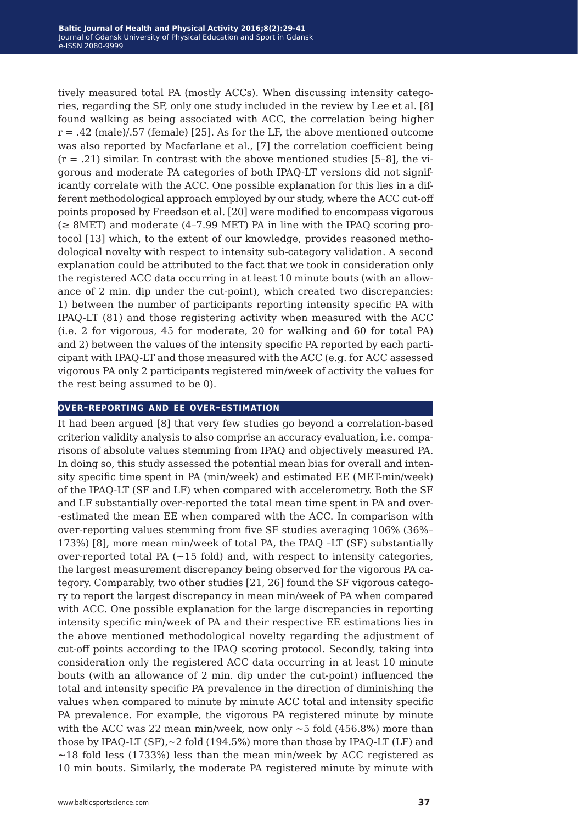tively measured total PA (mostly ACCs). When discussing intensity categories, regarding the SF, only one study included in the review by Lee et al. [8] found walking as being associated with ACC, the correlation being higher  $r = .42$  (male)/.57 (female) [25]. As for the LF, the above mentioned outcome was also reported by Macfarlane et al., [7] the correlation coefficient being  $(r = .21)$  similar. In contrast with the above mentioned studies [5-8], the vigorous and moderate PA categories of both IPAQ-LT versions did not significantly correlate with the ACC. One possible explanation for this lies in a different methodological approach employed by our study, where the ACC cut-off points proposed by Freedson et al. [20] were modified to encompass vigorous  $(\geq 8MET)$  and moderate (4-7.99 MET) PA in line with the IPAQ scoring protocol [13] which, to the extent of our knowledge, provides reasoned methodological novelty with respect to intensity sub-category validation. A second explanation could be attributed to the fact that we took in consideration only the registered ACC data occurring in at least 10 minute bouts (with an allowance of 2 min. dip under the cut-point), which created two discrepancies: 1) between the number of participants reporting intensity specific PA with IPAQ-LT (81) and those registering activity when measured with the ACC (i.e. 2 for vigorous, 45 for moderate, 20 for walking and 60 for total PA) and 2) between the values of the intensity specific PA reported by each participant with IPAQ-LT and those measured with the ACC (e.g. for ACC assessed vigorous PA only 2 participants registered min/week of activity the values for the rest being assumed to be 0).

#### **over-reporting and ee over-estimation**

It had been argued [8] that very few studies go beyond a correlation-based criterion validity analysis to also comprise an accuracy evaluation, i.e. comparisons of absolute values stemming from IPAQ and objectively measured PA. In doing so, this study assessed the potential mean bias for overall and intensity specific time spent in PA (min/week) and estimated EE (MET-min/week) of the IPAQ-LT (SF and LF) when compared with accelerometry. Both the SF and LF substantially over-reported the total mean time spent in PA and over- -estimated the mean EE when compared with the ACC. In comparison with over-reporting values stemming from five SF studies averaging 106% (36%– 173%) [8], more mean min/week of total PA, the IPAQ –LT (SF) substantially over-reported total PA  $(-15 \text{ fold})$  and, with respect to intensity categories, the largest measurement discrepancy being observed for the vigorous PA category. Comparably, two other studies [21, 26] found the SF vigorous category to report the largest discrepancy in mean min/week of PA when compared with ACC. One possible explanation for the large discrepancies in reporting intensity specific min/week of PA and their respective EE estimations lies in the above mentioned methodological novelty regarding the adjustment of cut-off points according to the IPAQ scoring protocol. Secondly, taking into consideration only the registered ACC data occurring in at least 10 minute bouts (with an allowance of 2 min. dip under the cut-point) influenced the total and intensity specific PA prevalence in the direction of diminishing the values when compared to minute by minute ACC total and intensity specific PA prevalence. For example, the vigorous PA registered minute by minute with the ACC was 22 mean min/week, now only  $\sim$  5 fold (456.8%) more than those by IPAQ-LT (SF),~2 fold (194.5%) more than those by IPAQ-LT (LF) and ~18 fold less (1733%) less than the mean min/week by ACC registered as 10 min bouts. Similarly, the moderate PA registered minute by minute with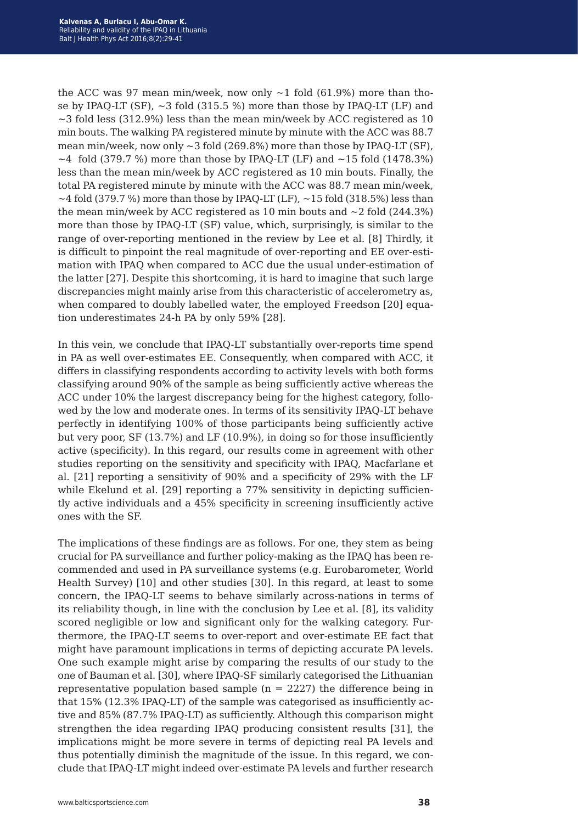the ACC was 97 mean min/week, now only  $\sim$  1 fold (61.9%) more than those by IPAQ-LT (SF),  $\sim$ 3 fold (315.5 %) more than those by IPAQ-LT (LF) and  $\sim$ 3 fold less (312.9%) less than the mean min/week by ACC registered as 10 min bouts. The walking PA registered minute by minute with the ACC was 88.7 mean min/week, now only  $\sim$  3 fold (269.8%) more than those by IPAQ-LT (SF),  $\sim$ 4 fold (379.7 %) more than those by IPAO-LT (LF) and  $\sim$ 15 fold (1478.3%) less than the mean min/week by ACC registered as 10 min bouts. Finally, the total PA registered minute by minute with the ACC was 88.7 mean min/week,  $\sim$  4 fold (379.7 %) more than those by IPAO-LT (LF),  $\sim$  15 fold (318.5%) less than the mean min/week by ACC registered as 10 min bouts and  $\sim$  2 fold (244.3%) more than those by IPAQ-LT (SF) value, which, surprisingly, is similar to the range of over-reporting mentioned in the review by Lee et al. [8] Thirdly, it is difficult to pinpoint the real magnitude of over-reporting and EE over-estimation with IPAQ when compared to ACC due the usual under-estimation of the latter [27]. Despite this shortcoming, it is hard to imagine that such large discrepancies might mainly arise from this characteristic of accelerometry as, when compared to doubly labelled water, the employed Freedson [20] equation underestimates 24-h PA by only 59% [28].

In this vein, we conclude that IPAQ-LT substantially over-reports time spend in PA as well over-estimates EE. Consequently, when compared with ACC, it differs in classifying respondents according to activity levels with both forms classifying around 90% of the sample as being sufficiently active whereas the ACC under 10% the largest discrepancy being for the highest category, followed by the low and moderate ones. In terms of its sensitivity IPAQ-LT behave perfectly in identifying 100% of those participants being sufficiently active but very poor, SF (13.7%) and LF (10.9%), in doing so for those insufficiently active (specificity). In this regard, our results come in agreement with other studies reporting on the sensitivity and specificity with IPAQ, Macfarlane et al. [21] reporting a sensitivity of 90% and a specificity of 29% with the LF while Ekelund et al. [29] reporting a 77% sensitivity in depicting sufficiently active individuals and a 45% specificity in screening insufficiently active ones with the SF.

The implications of these findings are as follows. For one, they stem as being crucial for PA surveillance and further policy-making as the IPAQ has been recommended and used in PA surveillance systems (e.g. Eurobarometer, World Health Survey) [10] and other studies [30]. In this regard, at least to some concern, the IPAQ-LT seems to behave similarly across-nations in terms of its reliability though, in line with the conclusion by Lee et al. [8], its validity scored negligible or low and significant only for the walking category. Furthermore, the IPAQ-LT seems to over-report and over-estimate EE fact that might have paramount implications in terms of depicting accurate PA levels. One such example might arise by comparing the results of our study to the one of Bauman et al. [30], where IPAQ-SF similarly categorised the Lithuanian representative population based sample ( $n = 2227$ ) the difference being in that 15% (12.3% IPAQ-LT) of the sample was categorised as insufficiently active and 85% (87.7% IPAQ-LT) as sufficiently. Although this comparison might strengthen the idea regarding IPAQ producing consistent results [31], the implications might be more severe in terms of depicting real PA levels and thus potentially diminish the magnitude of the issue. In this regard, we conclude that IPAQ-LT might indeed over-estimate PA levels and further research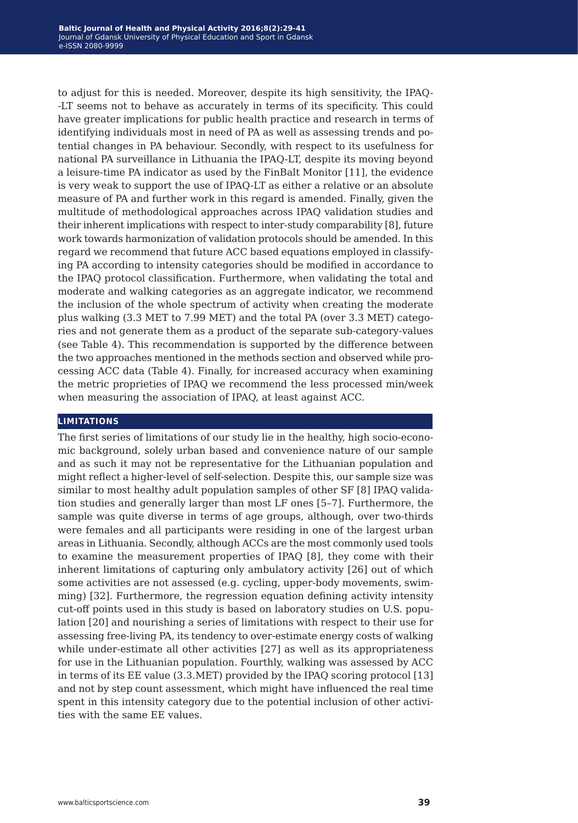to adjust for this is needed. Moreover, despite its high sensitivity, the IPAQ- -LT seems not to behave as accurately in terms of its specificity. This could have greater implications for public health practice and research in terms of identifying individuals most in need of PA as well as assessing trends and potential changes in PA behaviour. Secondly, with respect to its usefulness for national PA surveillance in Lithuania the IPAQ-LT, despite its moving beyond a leisure-time PA indicator as used by the FinBalt Monitor [11], the evidence is very weak to support the use of IPAQ-LT as either a relative or an absolute measure of PA and further work in this regard is amended. Finally, given the multitude of methodological approaches across IPAQ validation studies and their inherent implications with respect to inter-study comparability [8], future work towards harmonization of validation protocols should be amended. In this regard we recommend that future ACC based equations employed in classifying PA according to intensity categories should be modified in accordance to the IPAQ protocol classification. Furthermore, when validating the total and moderate and walking categories as an aggregate indicator, we recommend the inclusion of the whole spectrum of activity when creating the moderate plus walking (3.3 MET to 7.99 MET) and the total PA (over 3.3 MET) categories and not generate them as a product of the separate sub-category-values (see Table 4). This recommendation is supported by the difference between the two approaches mentioned in the methods section and observed while processing ACC data (Table 4). Finally, for increased accuracy when examining the metric proprieties of IPAQ we recommend the less processed min/week when measuring the association of IPAQ, at least against ACC.

#### **limitations**

The first series of limitations of our study lie in the healthy, high socio-economic background, solely urban based and convenience nature of our sample and as such it may not be representative for the Lithuanian population and might reflect a higher-level of self-selection. Despite this, our sample size was similar to most healthy adult population samples of other SF [8] IPAQ validation studies and generally larger than most LF ones [5–7]. Furthermore, the sample was quite diverse in terms of age groups, although, over two-thirds were females and all participants were residing in one of the largest urban areas in Lithuania. Secondly, although ACCs are the most commonly used tools to examine the measurement properties of IPAQ [8], they come with their inherent limitations of capturing only ambulatory activity [26] out of which some activities are not assessed (e.g. cycling, upper-body movements, swimming) [32]. Furthermore, the regression equation defining activity intensity cut-off points used in this study is based on laboratory studies on U.S. population [20] and nourishing a series of limitations with respect to their use for assessing free-living PA, its tendency to over-estimate energy costs of walking while under-estimate all other activities [27] as well as its appropriateness for use in the Lithuanian population. Fourthly, walking was assessed by ACC in terms of its EE value (3.3.MET) provided by the IPAQ scoring protocol [13] and not by step count assessment, which might have influenced the real time spent in this intensity category due to the potential inclusion of other activities with the same EE values.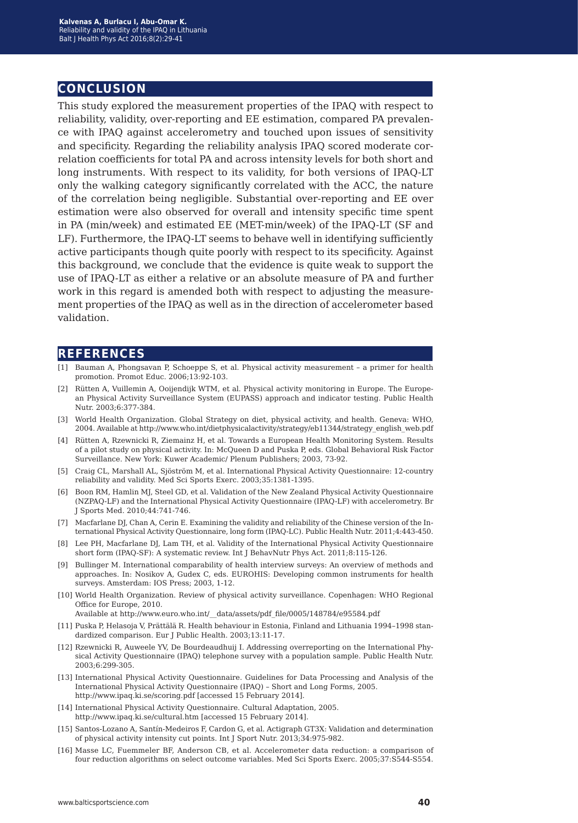# **conclusion**

This study explored the measurement properties of the IPAQ with respect to reliability, validity, over-reporting and EE estimation, compared PA prevalence with IPAQ against accelerometry and touched upon issues of sensitivity and specificity. Regarding the reliability analysis IPAQ scored moderate correlation coefficients for total PA and across intensity levels for both short and long instruments. With respect to its validity, for both versions of IPAQ-LT only the walking category significantly correlated with the ACC, the nature of the correlation being negligible. Substantial over-reporting and EE over estimation were also observed for overall and intensity specific time spent in PA (min/week) and estimated EE (MET-min/week) of the IPAQ-LT (SF and LF). Furthermore, the IPAQ-LT seems to behave well in identifying sufficiently active participants though quite poorly with respect to its specificity. Against this background, we conclude that the evidence is quite weak to support the use of IPAQ-LT as either a relative or an absolute measure of PA and further work in this regard is amended both with respect to adjusting the measurement properties of the IPAQ as well as in the direction of accelerometer based validation.

## **references**

- [1] Bauman A, Phongsavan P, Schoeppe S, et al. Physical activity measurement a primer for health promotion. Promot Educ. 2006;13:92-103.
- [2] Rütten A, Vuillemin A, Ooijendijk WTM, et al. Physical activity monitoring in Europe. The European Physical Activity Surveillance System (EUPASS) approach and indicator testing. Public Health Nutr. 2003;6:377-384.
- [3] World Health Organization. Global Strategy on diet, physical activity, and health. Geneva: WHO, 2004. Available at http://www.who.int/dietphysicalactivity/strategy/eb11344/strategy\_english\_web.pdf
- [4] Rütten A, Rzewnicki R, Ziemainz H, et al. Towards a European Health Monitoring System. Results of a pilot study on physical activity. In: McQueen D and Puska P, eds. Global Behavioral Risk Factor Surveillance. New York: Kuwer Academic/ Plenum Publishers; 2003, 73-92.
- [5] Craig CL, Marshall AL, Sjöström M, et al. International Physical Activity Questionnaire: 12-country reliability and validity. Med Sci Sports Exerc. 2003;35:1381-1395.
- [6] Boon RM, Hamlin MJ, Steel GD, et al. Validation of the New Zealand Physical Activity Questionnaire (NZPAQ-LF) and the International Physical Activity Questionnaire (IPAQ-LF) with accelerometry. Br J Sports Med. 2010;44:741-746.
- [7] Macfarlane DJ, Chan A, Cerin E. Examining the validity and reliability of the Chinese version of the International Physical Activity Questionnaire, long form (IPAQ-LC). Public Health Nutr. 2011;4:443-450.
- [8] Lee PH, Macfarlane DJ, Lam TH, et al. Validity of the International Physical Activity Questionnaire short form (IPAQ-SF): A systematic review. Int J BehavNutr Phys Act. 2011;8:115-126.
- [9] Bullinger M. International comparability of health interview surveys: An overview of methods and approaches. In: Nosikov A, Gudex C, eds. EUROHIS: Developing common instruments for health surveys. Amsterdam: IOS Press; 2003, 1-12.
- [10] World Health Organization. Review of physical activity surveillance. Copenhagen: WHO Regional Office for Europe, 2010.

Available at http://www.euro.who.int/\_\_data/assets/pdf\_file/0005/148784/e95584.pdf

- [11] Puska P, Helasoja V, Prättälä R. Health behaviour in Estonia, Finland and Lithuania 1994–1998 standardized comparison. Eur J Public Health. 2003;13:11-17.
- [12] Rzewnicki R, Auweele YV, De Bourdeaudhuij I. Addressing overreporting on the International Physical Activity Questionnaire (IPAQ) telephone survey with a population sample. Public Health Nutr. 2003;6:299-305.
- [13] International Physical Activity Questionnaire. Guidelines for Data Processing and Analysis of the International Physical Activity Questionnaire (IPAQ) – Short and Long Forms, 2005. http://www.ipaq.ki.se/scoring.pdf [accessed 15 February 2014].
- [14] International Physical Activity Questionnaire. Cultural Adaptation, 2005. http://www.ipaq.ki.se/cultural.htm [accessed 15 February 2014].
- [15] Santos-Lozano A, Santín-Medeiros F, Cardon G, et al. Actigraph GT3X: Validation and determination of physical activity intensity cut points. Int J Sport Nutr. 2013;34:975-982.
- [16] Masse LC, Fuemmeler BF, Anderson CB, et al. Accelerometer data reduction: a comparison of four reduction algorithms on select outcome variables. Med Sci Sports Exerc. 2005;37:S544-S554.